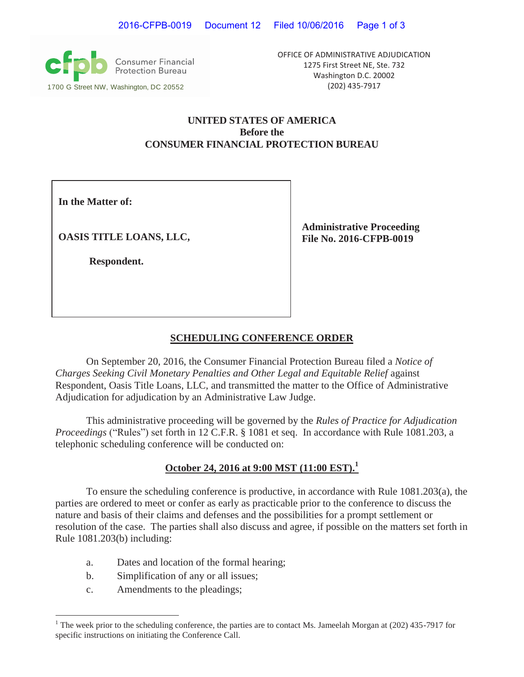**Consumer Financial**<br>Protection Bureau 1700 G Street NW, Washington, DC 20552 (202) 435-7917

OFFICE OF ADMINISTRATIVE ADJUDICATION 1275 First Street NE, Ste. 732 Washington D.C. 20002

## **UNITED STATES OF AMERICA Before the CONSUMER FINANCIAL PROTECTION BUREAU**

**In the Matter of:**

**OASIS TITLE LOANS, LLC,**

**Respondent.**

**Administrative Proceeding File No. 2016-CFPB-0019** 

# **SCHEDULING CONFERENCE ORDER**

On September 20, 2016, the Consumer Financial Protection Bureau filed a *Notice of Charges Seeking Civil Monetary Penalties and Other Legal and Equitable Relief* against Respondent, Oasis Title Loans, LLC, and transmitted the matter to the Office of Administrative Adjudication for adjudication by an Administrative Law Judge.

This administrative proceeding will be governed by the *Rules of Practice for Adjudication Proceedings* ("Rules") set forth in 12 C.F.R. § 1081 et seq. In accordance with Rule 1081.203, a telephonic scheduling conference will be conducted on:

# **October 24, 2016 at 9:00 MST (11:00 EST).<sup>1</sup>**

To ensure the scheduling conference is productive, in accordance with Rule 1081.203(a), the parties are ordered to meet or confer as early as practicable prior to the conference to discuss the nature and basis of their claims and defenses and the possibilities for a prompt settlement or resolution of the case. The parties shall also discuss and agree, if possible on the matters set forth in Rule 1081.203(b) including:

- a. Dates and location of the formal hearing;
- b. Simplification of any or all issues;
- c. Amendments to the pleadings;

<sup>&</sup>lt;sup>1</sup> The week prior to the scheduling conference, the parties are to contact Ms. Jameelah Morgan at (202) 435-7917 for specific instructions on initiating the Conference Call.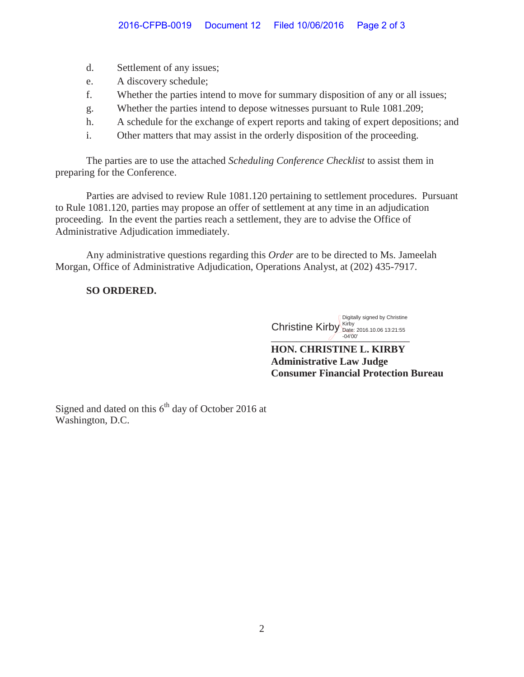- d. Settlement of any issues;
- e. A discovery schedule;
- f. Whether the parties intend to move for summary disposition of any or all issues;
- g. Whether the parties intend to depose witnesses pursuant to Rule 1081.209;
- h. A schedule for the exchange of expert reports and taking of expert depositions; and
- i. Other matters that may assist in the orderly disposition of the proceeding.

The parties are to use the attached *Scheduling Conference Checklist* to assist them in preparing for the Conference.

Parties are advised to review Rule 1081.120 pertaining to settlement procedures. Pursuant to Rule 1081.120, parties may propose an offer of settlement at any time in an adjudication proceeding. In the event the parties reach a settlement, they are to advise the Office of Administrative Adjudication immediately.

Any administrative questions regarding this *Order* are to be directed to Ms. Jameelah Morgan, Office of Administrative Adjudication, Operations Analyst, at (202) 435-7917.

#### **SO ORDERED.**

 $\bigvee$  -04'00' Christine Kirby Kirby Date: 2016.10.06 13:21:55 Digitally signed by Christine -04'00'

**HON. CHRISTINE L. KIRBY Administrative Law Judge Consumer Financial Protection Bureau** 

Signed and dated on this  $6<sup>th</sup>$  day of October 2016 at Washington, D.C.